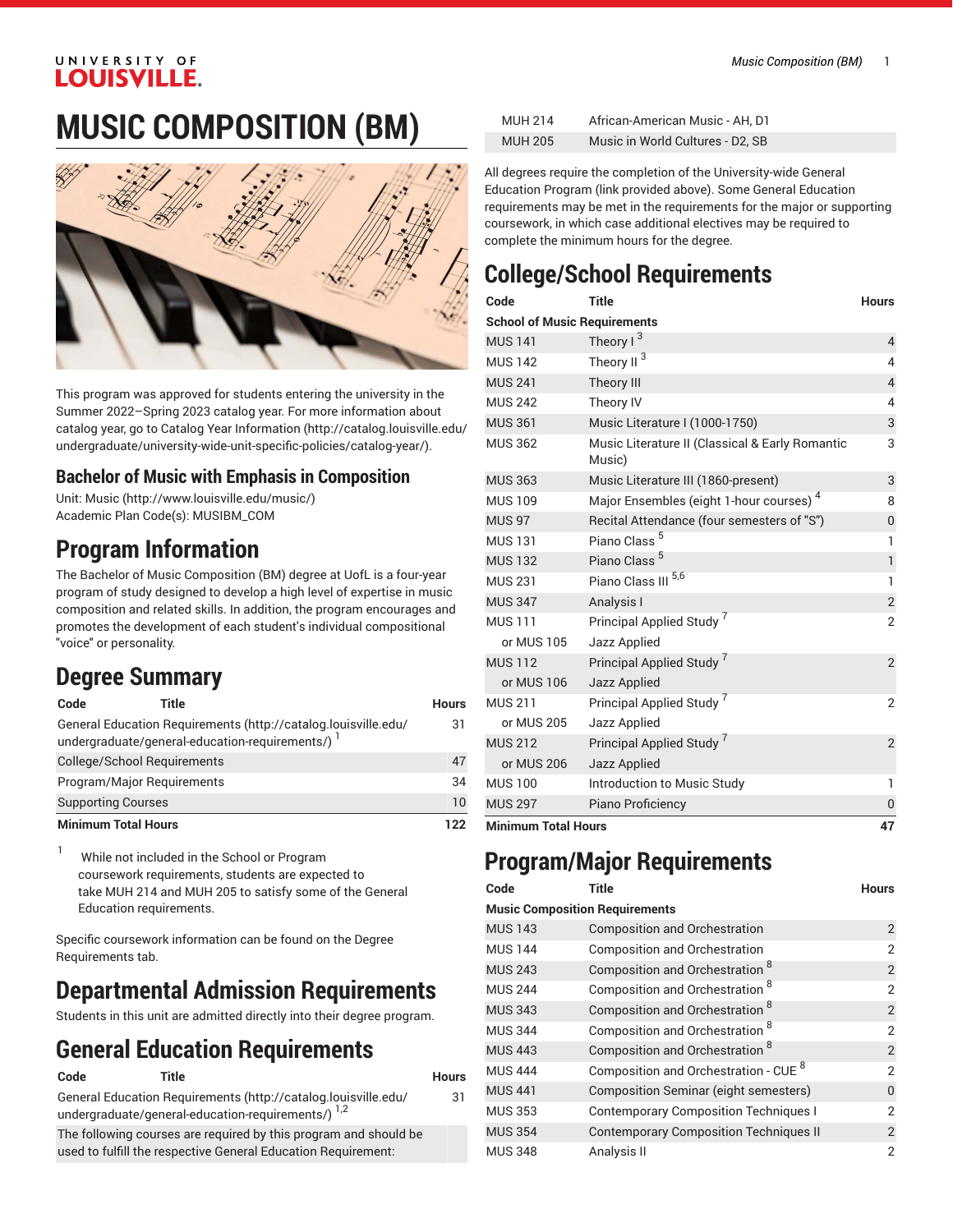### UNIVERSITY OF **LOUISVILLE.**

# **MUSIC COMPOSITION (BM)**



This program was approved for students entering the university in the Summer 2022–Spring 2023 catalog year. For more information about catalog year, go to Catalog Year [Information](http://catalog.louisville.edu/undergraduate/university-wide-unit-specific-policies/catalog-year/) ([http://catalog.louisville.edu/](http://catalog.louisville.edu/undergraduate/university-wide-unit-specific-policies/catalog-year/) [undergraduate/university-wide-unit-specific-policies/catalog-year/](http://catalog.louisville.edu/undergraduate/university-wide-unit-specific-policies/catalog-year/)).

### **Bachelor of Music with Emphasis in Composition**

Unit: [Music \(http://www.louisville.edu/music/](http://www.louisville.edu/music/)) Academic Plan Code(s): MUSIBM\_COM

# **Program Information**

The Bachelor of Music Composition (BM) degree at UofL is a four-year program of study designed to develop a high level of expertise in music composition and related skills. In addition, the program encourages and promotes the development of each student's individual compositional "voice" or personality.

### **Degree Summary**

| Code                       | Title                                                                                                              | <b>Hours</b> |
|----------------------------|--------------------------------------------------------------------------------------------------------------------|--------------|
|                            | General Education Requirements (http://catalog.louisville.edu/<br>undergraduate/general-education-requirements/) 1 | 31           |
|                            | College/School Requirements                                                                                        | 47           |
|                            | Program/Major Reguirements                                                                                         | 34           |
| <b>Supporting Courses</b>  |                                                                                                                    | 10           |
| <b>Minimum Total Hours</b> |                                                                                                                    | 122          |

<sup>1</sup> While not included in the School or Program coursework requirements, students are expected to take MUH 214 and MUH 205 to satisfy some of the General Education requirements.

Specific coursework information can be found on the Degree Requirements tab.

# **Departmental Admission Requirements**

Students in this unit are admitted directly into their degree program.

# **General Education Requirements**

| Code | Title                                                                                                                           | Hours |
|------|---------------------------------------------------------------------------------------------------------------------------------|-------|
|      | General Education Requirements (http://catalog.louisville.edu/<br>undergraduate/general-education-requirements/) <sup>1,2</sup> | 31    |
|      | The following courses are required by this program and should be                                                                |       |
|      | used to fulfill the respective General Education Requirement:                                                                   |       |

| <b>MUH 214</b> | African-American Music - AH, D1  |
|----------------|----------------------------------|
| <b>MUH 205</b> | Music in World Cultures - D2, SB |

All degrees require the completion of the University-wide General Education Program (link provided above). Some General Education requirements may be met in the requirements for the major or supporting coursework, in which case additional electives may be required to complete the minimum hours for the degree.

# **College/School Requirements**

| Code                                | Title                                                     | <b>Hours</b>   |
|-------------------------------------|-----------------------------------------------------------|----------------|
| <b>School of Music Requirements</b> |                                                           |                |
| <b>MUS 141</b>                      | Theory $1^3$                                              | $\overline{4}$ |
| <b>MUS 142</b>                      | Theory II <sup>3</sup>                                    | 4              |
| <b>MUS 241</b>                      | Theory III                                                | $\overline{4}$ |
| <b>MUS 242</b>                      | Theory IV                                                 | 4              |
| <b>MUS 361</b>                      | Music Literature I (1000-1750)                            | 3              |
| <b>MUS 362</b>                      | Music Literature II (Classical & Early Romantic<br>Music) | 3              |
| <b>MUS 363</b>                      | Music Literature III (1860-present)                       | 3              |
| <b>MUS 109</b>                      | Major Ensembles (eight 1-hour courses) <sup>4</sup>       | 8              |
| <b>MUS 97</b>                       | Recital Attendance (four semesters of "S")                | $\overline{0}$ |
| <b>MUS 131</b>                      | Piano Class <sup>5</sup>                                  | 1              |
| <b>MUS 132</b>                      | Piano Class <sup>5</sup>                                  | $\overline{1}$ |
| <b>MUS 231</b>                      | Piano Class III <sup>5,6</sup>                            | 1              |
| <b>MUS 347</b>                      | Analysis I                                                | $\overline{2}$ |
| <b>MUS 111</b>                      | Principal Applied Study <sup>7</sup>                      | 2              |
| or MUS 105                          | Jazz Applied                                              |                |
| <b>MUS 112</b>                      | Principal Applied Study '                                 | $\overline{2}$ |
| or MUS 106                          | Jazz Applied                                              |                |
| <b>MUS 211</b>                      | Principal Applied Study                                   | $\overline{2}$ |
| or MUS 205                          | Jazz Applied                                              |                |
| <b>MUS 212</b>                      | Principal Applied Study                                   | $\overline{2}$ |
| or MUS 206                          | <b>Jazz Applied</b>                                       |                |
| <b>MUS 100</b>                      | Introduction to Music Study                               | 1              |
| <b>MUS 297</b>                      | Piano Proficiency                                         | 0              |
| <b>Minimum Total Hours</b>          |                                                           | 47             |

### **Program/Major Requirements**

| Code                                  | <b>Title</b>                                     | <b>Hours</b>   |
|---------------------------------------|--------------------------------------------------|----------------|
| <b>Music Composition Requirements</b> |                                                  |                |
| <b>MUS 143</b>                        | <b>Composition and Orchestration</b>             | $\overline{2}$ |
| <b>MUS 144</b>                        | <b>Composition and Orchestration</b>             | $\overline{2}$ |
| <b>MUS 243</b>                        | Composition and Orchestration 8                  | $\overline{2}$ |
| <b>MUS 244</b>                        | Composition and Orchestration 8                  | $\overline{2}$ |
| <b>MUS 343</b>                        | Composition and Orchestration <sup>8</sup>       | $\overline{2}$ |
| <b>MUS 344</b>                        | Composition and Orchestration <sup>8</sup>       | $\overline{2}$ |
| <b>MUS 443</b>                        | Composition and Orchestration <sup>8</sup>       | $\overline{2}$ |
| <b>MUS 444</b>                        | Composition and Orchestration - CUE <sup>8</sup> | $\overline{2}$ |
| <b>MUS 441</b>                        | Composition Seminar (eight semesters)            | $\mathbf{0}$   |
| <b>MUS 353</b>                        | <b>Contemporary Composition Techniques I</b>     | 2              |
| <b>MUS 354</b>                        | <b>Contemporary Composition Techniques II</b>    | $\overline{2}$ |
| <b>MUS 348</b>                        | Analysis II                                      | $\overline{2}$ |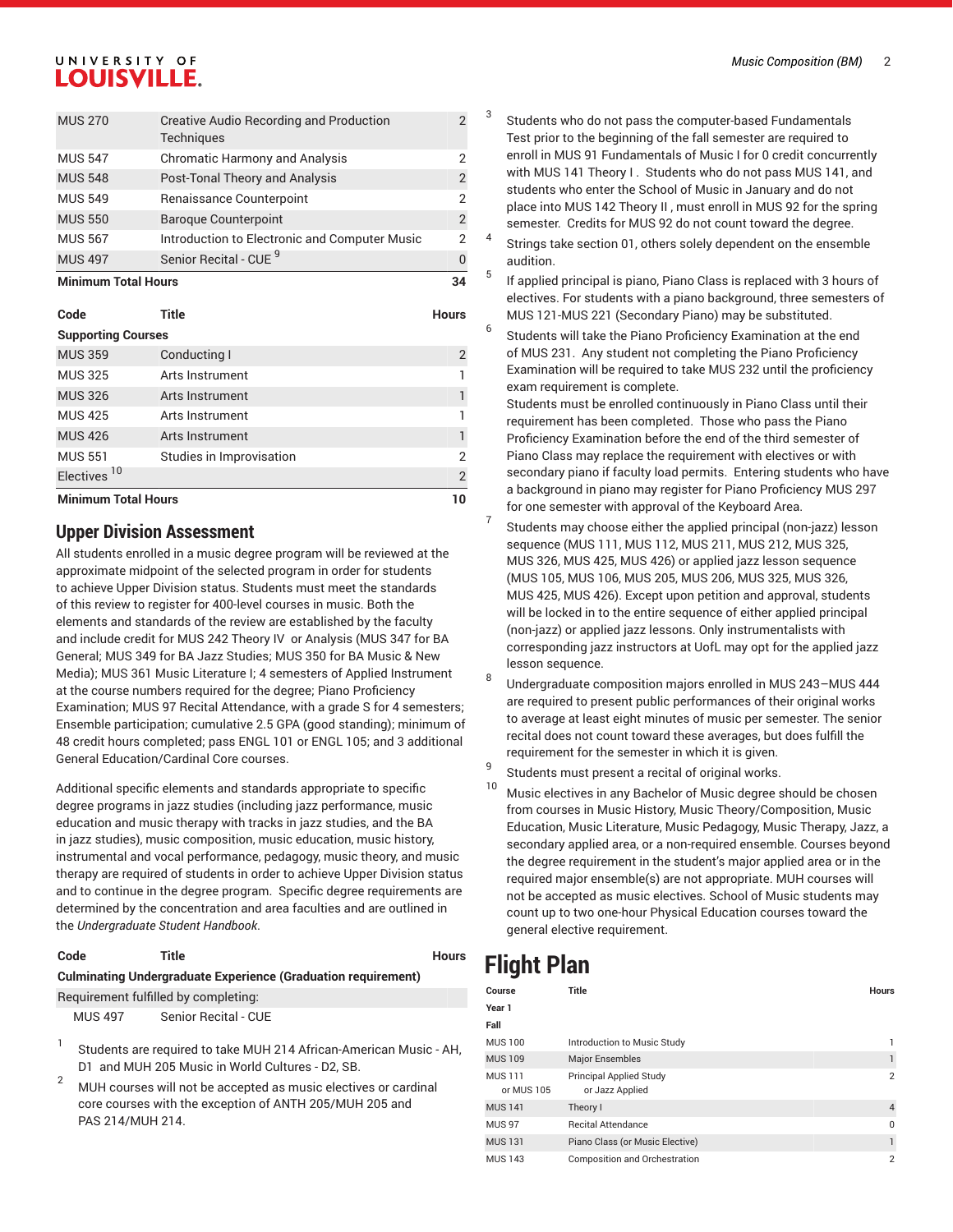### UNIVERSITY OF **LOUISVILLE.**

| <b>MUS 270</b> | <b>Creative Audio Recording and Production</b><br>Techniques |               |
|----------------|--------------------------------------------------------------|---------------|
| <b>MUS 547</b> | <b>Chromatic Harmony and Analysis</b>                        |               |
| <b>MUS 548</b> | Post-Tonal Theory and Analysis                               | $\mathcal{P}$ |
| <b>MUS 549</b> | Renaissance Counterpoint                                     | 2             |
| <b>MUS 550</b> | <b>Baroque Counterpoint</b>                                  | $\mathcal{P}$ |
| <b>MUS 567</b> | Introduction to Electronic and Computer Music                | 2             |
| <b>MUS 497</b> | Senior Recital - CUE <sup>9</sup>                            |               |

**Minimum Total Hours 34**

| Code                       | Title                    | <b>Hours</b>   |
|----------------------------|--------------------------|----------------|
| <b>Supporting Courses</b>  |                          |                |
| <b>MUS 359</b>             | Conducting I             | $\overline{2}$ |
| <b>MUS 325</b>             | Arts Instrument          |                |
| <b>MUS 326</b>             | Arts Instrument          | 1              |
| <b>MUS 425</b>             | Arts Instrument          |                |
| <b>MUS 426</b>             | Arts Instrument          |                |
| <b>MUS 551</b>             | Studies in Improvisation | 2              |
| Electives <sup>10</sup>    |                          | $\overline{2}$ |
| <b>Minimum Total Hours</b> |                          | 10             |

### **Upper Division Assessment**

All students enrolled in a music degree program will be reviewed at the approximate midpoint of the selected program in order for students to achieve Upper Division status. Students must meet the standards of this review to register for 400-level courses in music. Both the elements and standards of the review are established by the faculty and include credit for MUS 242 Theory IV or Analysis (MUS 347 for BA General; MUS 349 for BA Jazz Studies; MUS 350 for BA Music & New Media); MUS 361 Music Literature I; 4 semesters of Applied Instrument at the course numbers required for the degree; Piano Proficiency Examination; MUS 97 Recital Attendance, with a grade S for 4 semesters; Ensemble participation; cumulative 2.5 GPA (good standing); minimum of 48 credit hours completed; pass ENGL 101 or ENGL 105; and 3 additional General Education/Cardinal Core courses.

Additional specific elements and standards appropriate to specific degree programs in jazz studies (including jazz performance, music education and music therapy with tracks in jazz studies, and the BA in jazz studies), music composition, music education, music history, instrumental and vocal performance, pedagogy, music theory, and music therapy are required of students in order to achieve Upper Division status and to continue in the degree program. Specific degree requirements are determined by the concentration and area faculties and are outlined in the *Undergraduate Student Handbook*.

#### **Code Title Hours**

**Culminating Undergraduate Experience (Graduation requirement)** Requirement fulfilled by completing:

MUS 497 Senior Recital - CUE

1 Students are required to take MUH 214 African-American Music - AH, D1 and MUH 205 Music in World Cultures - D2, SB.

 $2^{\circ}$  MUH courses will not be accepted as music electives or cardinal core courses with the exception of ANTH 205/MUH 205 and PAS 214/MUH 214.

- 3 Students who do not pass the computer-based Fundamentals Test prior to the beginning of the fall semester are required to enroll in MUS 91 Fundamentals of Music I for 0 credit concurrently with MUS 141 Theory I . Students who do not pass MUS 141, and students who enter the School of Music in January and do not place into MUS 142 Theory II , must enroll in MUS 92 for the spring semester. Credits for MUS 92 do not count toward the degree.
- 4 Strings take section 01, others solely dependent on the ensemble audition.
- 5 If applied principal is piano, Piano Class is replaced with 3 hours of electives. For students with a piano background, three semesters of MUS 121-MUS 221 (Secondary Piano) may be substituted.
- 6 Students will take the Piano Proficiency Examination at the end of MUS 231. Any student not completing the Piano Proficiency Examination will be required to take MUS 232 until the proficiency exam requirement is complete.

Students must be enrolled continuously in Piano Class until their requirement has been completed. Those who pass the Piano Proficiency Examination before the end of the third semester of Piano Class may replace the requirement with electives or with secondary piano if faculty load permits. Entering students who have a background in piano may register for Piano Proficiency MUS 297 for one semester with approval of the Keyboard Area.

- 7 Students may choose either the applied principal (non-jazz) lesson sequence (MUS 111, MUS 112, MUS 211, MUS 212, MUS 325, MUS 326, MUS 425, MUS 426) or applied jazz lesson sequence (MUS 105, MUS 106, MUS 205, MUS 206, MUS 325, MUS 326, MUS 425, MUS 426). Except upon petition and approval, students will be locked in to the entire sequence of either applied principal (non-jazz) or applied jazz lessons. Only instrumentalists with corresponding jazz instructors at UofL may opt for the applied jazz lesson sequence.
- 8 Undergraduate composition majors enrolled in MUS 243–MUS 444 are required to present public performances of their original works to average at least eight minutes of music per semester. The senior recital does not count toward these averages, but does fulfill the requirement for the semester in which it is given.
- 9 Students must present a recital of original works.
- <sup>10</sup> Music electives in any Bachelor of Music degree should be chosen from courses in Music History, Music Theory/Composition, Music Education, Music Literature, Music Pedagogy, Music Therapy, Jazz, a secondary applied area, or a non-required ensemble. Courses beyond the degree requirement in the student's major applied area or in the required major ensemble(s) are not appropriate. MUH courses will not be accepted as music electives. School of Music students may count up to two one-hour Physical Education courses toward the general elective requirement.

### **Flight Plan**

| Course                       | Title                                             | <b>Hours</b>   |
|------------------------------|---------------------------------------------------|----------------|
| Year 1                       |                                                   |                |
| Fall                         |                                                   |                |
| <b>MUS 100</b>               | Introduction to Music Study                       |                |
| <b>MUS 109</b>               | <b>Major Ensembles</b>                            |                |
| <b>MUS 111</b><br>or MUS 105 | <b>Principal Applied Study</b><br>or Jazz Applied | $\mathfrak{p}$ |
| <b>MUS 141</b>               | Theory I                                          | $\overline{4}$ |
| <b>MUS 97</b>                | <b>Recital Attendance</b>                         | 0              |
| <b>MUS 131</b>               | Piano Class (or Music Elective)                   | 1              |
| <b>MUS 143</b>               | Composition and Orchestration                     | $\overline{2}$ |